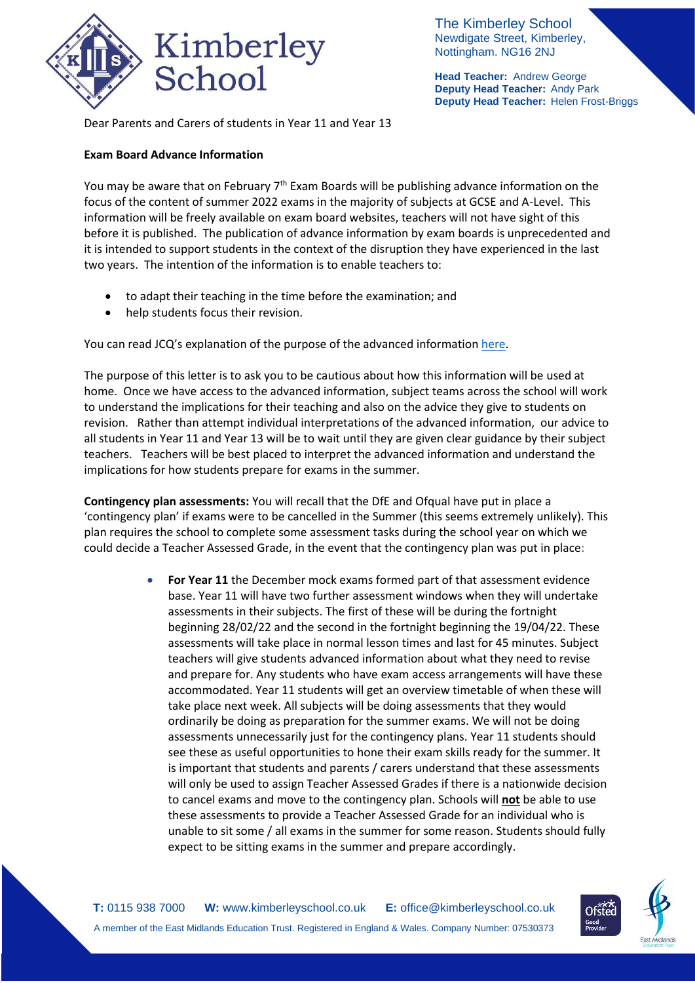

The Kimberley School Newdigate Street, Kimberley, Nottingham. NG16 2NJ

**Head Teacher:** Andrew George **Deputy Head Teacher:** Andy Park **Deputy Head Teacher:** Helen Frost-Briggs

Dear Parents and Carers of students in Year 11 and Year 13

## **Exam Board Advance Information**

You may be aware that on February  $7<sup>th</sup>$  Exam Boards will be publishing advance information on the focus of the content of summer 2022 exams in the majority of subjects at GCSE and A-Level. This information will be freely available on exam board websites, teachers will not have sight of this before it is published. The publication of advance information by exam boards is unprecedented and it is intended to support students in the context of the disruption they have experienced in the last two years. The intention of the information is to enable teachers to:

- to adapt their teaching in the time before the examination; and
- help students focus their revision.

You can read JCQ's explanation of the purpose of the advanced informatio[n here.](https://www.jcq.org.uk/wp-content/uploads/2021/10/Advance-Information-for-General-Qualifications-2021-22.pdf)

The purpose of this letter is to ask you to be cautious about how this information will be used at home. Once we have access to the advanced information, subject teams across the school will work to understand the implications for their teaching and also on the advice they give to students on revision. Rather than attempt individual interpretations of the advanced information, our advice to all students in Year 11 and Year 13 will be to wait until they are given clear guidance by their subject teachers. Teachers will be best placed to interpret the advanced information and understand the implications for how students prepare for exams in the summer.

**Contingency plan assessments:** You will recall that the DfE and Ofqual have put in place a 'contingency plan' if exams were to be cancelled in the Summer (this seems extremely unlikely). This plan requires the school to complete some assessment tasks during the school year on which we could decide a Teacher Assessed Grade, in the event that the contingency plan was put in place:

> For Year 11 the December mock exams formed part of that assessment evidence base. Year 11 will have two further assessment windows when they will undertake assessments in their subjects. The first of these will be during the fortnight beginning 28/02/22 and the second in the fortnight beginning the 19/04/22. These assessments will take place in normal lesson times and last for 45 minutes. Subject teachers will give students advanced information about what they need to revise and prepare for. Any students who have exam access arrangements will have these accommodated. Year 11 students will get an overview timetable of when these will take place next week. All subjects will be doing assessments that they would ordinarily be doing as preparation for the summer exams. We will not be doing assessments unnecessarily just for the contingency plans. Year 11 students should see these as useful opportunities to hone their exam skills ready for the summer. It is important that students and parents / carers understand that these assessments will only be used to assign Teacher Assessed Grades if there is a nationwide decision to cancel exams and move to the contingency plan. Schools will **not** be able to use these assessments to provide a Teacher Assessed Grade for an individual who is unable to sit some / all exams in the summer for some reason. Students should fully expect to be sitting exams in the summer and prepare accordingly.